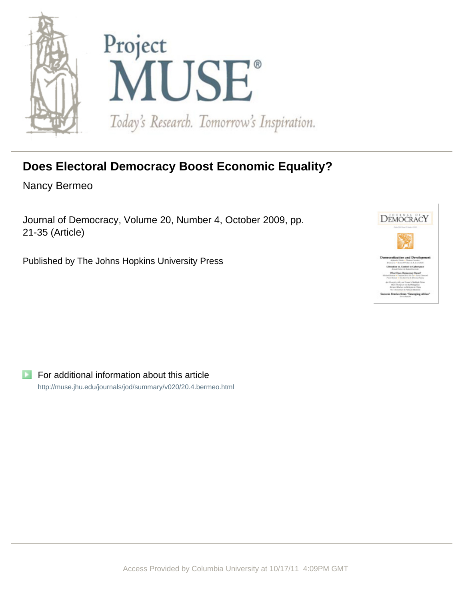

# **Does Electoral Democracy Boost Economic Equality?**

Nancy Bermeo

Journal of Democracy, Volume 20, Number 4, October 2009, pp. 21-35 (Article)

Published by The Johns Hopkins University Press





For additional information about this article <http://muse.jhu.edu/journals/jod/summary/v020/20.4.bermeo.html>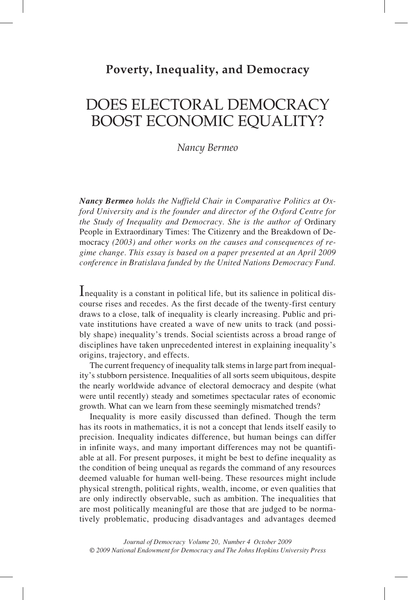## **Poverty, Inequality, and Democracy**

## does electoral democracy BOOST ECONOMIC EQUALITY?

### *Nancy Bermeo*

*Nancy Bermeo holds the Nuffield Chair in Comparative Politics at Oxford University and is the founder and director of the Oxford Centre for the Study of Inequality and Democracy. She is the author of* Ordinary People in Extraordinary Times: The Citizenry and the Breakdown of Democracy *(2003) and other works on the causes and consequences of regime change. This essay is based on a paper presented at an April 2009 conference in Bratislava funded by the United Nations Democracy Fund.*

Inequality is a constant in political life, but its salience in political discourse rises and recedes. As the first decade of the twenty-first century draws to a close, talk of inequality is clearly increasing. Public and private institutions have created a wave of new units to track (and possibly shape) inequality's trends. Social scientists across a broad range of disciplines have taken unprecedented interest in explaining inequality's origins, trajectory, and effects.

The current frequency of inequality talk stems in large part from inequality's stubborn persistence. Inequalities of all sorts seem ubiquitous, despite the nearly worldwide advance of electoral democracy and despite (what were until recently) steady and sometimes spectacular rates of economic growth. What can we learn from these seemingly mismatched trends?

Inequality is more easily discussed than defined. Though the term has its roots in mathematics, it is not a concept that lends itself easily to precision. Inequality indicates difference, but human beings can differ in infinite ways, and many important differences may not be quantifiable at all. For present purposes, it might be best to define inequality as the condition of being unequal as regards the command of any resources deemed valuable for human well-being. These resources might include physical strength, political rights, wealth, income, or even qualities that are only indirectly observable, such as ambition. The inequalities that are most politically meaningful are those that are judged to be normatively problematic, producing disadvantages and advantages deemed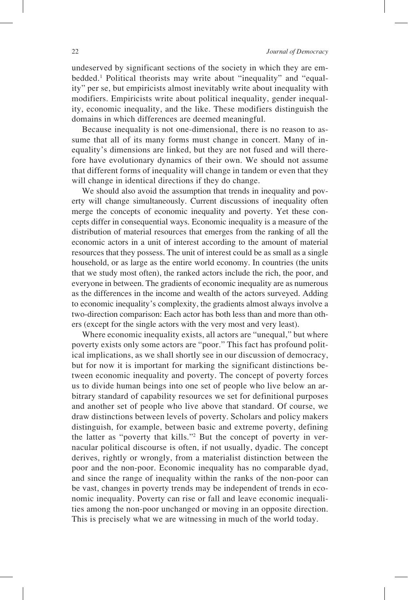undeserved by significant sections of the society in which they are embedded.1 Political theorists may write about "inequality" and "equality" per se, but empiricists almost inevitably write about inequality with modifiers. Empiricists write about political inequality, gender inequality, economic inequality, and the like. These modifiers distinguish the domains in which differences are deemed meaningful.

Because inequality is not one-dimensional, there is no reason to assume that all of its many forms must change in concert. Many of inequality's dimensions are linked, but they are not fused and will therefore have evolutionary dynamics of their own. We should not assume that different forms of inequality will change in tandem or even that they will change in identical directions if they do change.

We should also avoid the assumption that trends in inequality and poverty will change simultaneously. Current discussions of inequality often merge the concepts of economic inequality and poverty. Yet these concepts differ in consequential ways. Economic inequality is a measure of the distribution of material resources that emerges from the ranking of all the economic actors in a unit of interest according to the amount of material resources that they possess. The unit of interest could be as small as a single household, or as large as the entire world economy. In countries (the units that we study most often), the ranked actors include the rich, the poor, and everyone in between. The gradients of economic inequality are as numerous as the differences in the income and wealth of the actors surveyed. Adding to economic inequality's complexity, the gradients almost always involve a two-direction comparison: Each actor has both less than and more than others (except for the single actors with the very most and very least).

Where economic inequality exists, all actors are "unequal," but where poverty exists only some actors are "poor." This fact has profound political implications, as we shall shortly see in our discussion of democracy, but for now it is important for marking the significant distinctions between economic inequality and poverty. The concept of poverty forces us to divide human beings into one set of people who live below an arbitrary standard of capability resources we set for definitional purposes and another set of people who live above that standard. Of course, we draw distinctions between levels of poverty. Scholars and policy makers distinguish, for example, between basic and extreme poverty, defining the latter as "poverty that kills."2 But the concept of poverty in vernacular political discourse is often, if not usually, dyadic. The concept derives, rightly or wrongly, from a materialist distinction between the poor and the non-poor. Economic inequality has no comparable dyad, and since the range of inequality within the ranks of the non-poor can be vast, changes in poverty trends may be independent of trends in economic inequality. Poverty can rise or fall and leave economic inequalities among the non-poor unchanged or moving in an opposite direction. This is precisely what we are witnessing in much of the world today.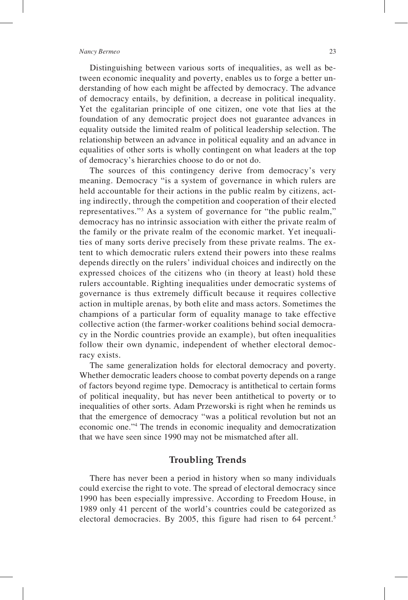#### *Nancy Bermeo* 23

Distinguishing between various sorts of inequalities, as well as between economic inequality and poverty, enables us to forge a better understanding of how each might be affected by democracy. The advance of democracy entails, by definition, a decrease in political inequality. Yet the egalitarian principle of one citizen, one vote that lies at the foundation of any democratic project does not guarantee advances in equality outside the limited realm of political leadership selection. The relationship between an advance in political equality and an advance in equalities of other sorts is wholly contingent on what leaders at the top of democracy's hierarchies choose to do or not do.

The sources of this contingency derive from democracy's very meaning. Democracy "is a system of governance in which rulers are held accountable for their actions in the public realm by citizens, acting indirectly, through the competition and cooperation of their elected representatives."3 As a system of governance for "the public realm," democracy has no intrinsic association with either the private realm of the family or the private realm of the economic market. Yet inequalities of many sorts derive precisely from these private realms. The extent to which democratic rulers extend their powers into these realms depends directly on the rulers' individual choices and indirectly on the expressed choices of the citizens who (in theory at least) hold these rulers accountable. Righting inequalities under democratic systems of governance is thus extremely difficult because it requires collective action in multiple arenas, by both elite and mass actors. Sometimes the champions of a particular form of equality manage to take effective collective action (the farmer-worker coalitions behind social democracy in the Nordic countries provide an example), but often inequalities follow their own dynamic, independent of whether electoral democracy exists.

The same generalization holds for electoral democracy and poverty. Whether democratic leaders choose to combat poverty depends on a range of factors beyond regime type. Democracy is antithetical to certain forms of political inequality, but has never been antithetical to poverty or to inequalities of other sorts. Adam Przeworski is right when he reminds us that the emergence of democracy "was a political revolution but not an economic one."4 The trends in economic inequality and democratization that we have seen since 1990 may not be mismatched after all.

#### **Troubling Trends**

There has never been a period in history when so many individuals could exercise the right to vote. The spread of electoral democracy since 1990 has been especially impressive. According to Freedom House, in 1989 only 41 percent of the world's countries could be categorized as electoral democracies. By 2005, this figure had risen to 64 percent.<sup>5</sup>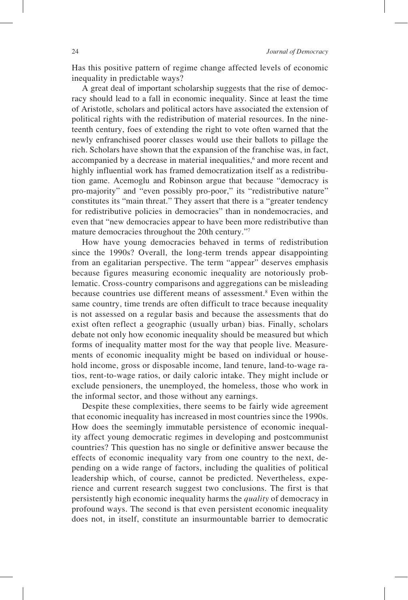Has this positive pattern of regime change affected levels of economic inequality in predictable ways?

A great deal of important scholarship suggests that the rise of democracy should lead to a fall in economic inequality. Since at least the time of Aristotle, scholars and political actors have associated the extension of political rights with the redistribution of material resources. In the nineteenth century, foes of extending the right to vote often warned that the newly enfranchised poorer classes would use their ballots to pillage the rich. Scholars have shown that the expansion of the franchise was, in fact, accompanied by a decrease in material inequalities,<sup>6</sup> and more recent and highly influential work has framed democratization itself as a redistribution game. Acemoglu and Robinson argue that because "democracy is pro-majority" and "even possibly pro-poor," its "redistributive nature" constitutes its "main threat." They assert that there is a "greater tendency for redistributive policies in democracies" than in nondemocracies, and even that "new democracies appear to have been more redistributive than mature democracies throughout the 20th century."7

How have young democracies behaved in terms of redistribution since the 1990s? Overall, the long-term trends appear disappointing from an egalitarian perspective. The term "appear" deserves emphasis because figures measuring economic inequality are notoriously problematic. Cross-country comparisons and aggregations can be misleading because countries use different means of assessment.8 Even within the same country, time trends are often difficult to trace because inequality is not assessed on a regular basis and because the assessments that do exist often reflect a geographic (usually urban) bias. Finally, scholars debate not only how economic inequality should be measured but which forms of inequality matter most for the way that people live. Measurements of economic inequality might be based on individual or household income, gross or disposable income, land tenure, land-to-wage ratios, rent-to-wage ratios, or daily caloric intake. They might include or exclude pensioners, the unemployed, the homeless, those who work in the informal sector, and those without any earnings.

Despite these complexities, there seems to be fairly wide agreement that economic inequality has increased in most countries since the 1990s. How does the seemingly immutable persistence of economic inequality affect young democratic regimes in developing and postcommunist countries? This question has no single or definitive answer because the effects of economic inequality vary from one country to the next, depending on a wide range of factors, including the qualities of political leadership which, of course, cannot be predicted. Nevertheless, experience and current research suggest two conclusions. The first is that persistently high economic inequality harms the *quality* of democracy in profound ways. The second is that even persistent economic inequality does not, in itself, constitute an insurmountable barrier to democratic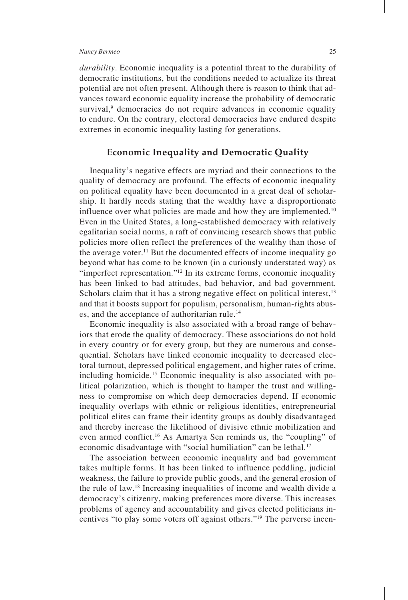*durability.* Economic inequality is a potential threat to the durability of democratic institutions, but the conditions needed to actualize its threat potential are not often present. Although there is reason to think that advances toward economic equality increase the probability of democratic survival,<sup>9</sup> democracies do not require advances in economic equality to endure. On the contrary, electoral democracies have endured despite extremes in economic inequality lasting for generations.

#### **Economic Inequality and Democratic Quality**

Inequality's negative effects are myriad and their connections to the quality of democracy are profound. The effects of economic inequality on political equality have been documented in a great deal of scholarship. It hardly needs stating that the wealthy have a disproportionate influence over what policies are made and how they are implemented.<sup>10</sup> Even in the United States, a long-established democracy with relatively egalitarian social norms, a raft of convincing research shows that public policies more often reflect the preferences of the wealthy than those of the average voter.11 But the documented effects of income inequality go beyond what has come to be known (in a curiously understated way) as "imperfect representation."<sup>12</sup> In its extreme forms, economic inequality has been linked to bad attitudes, bad behavior, and bad government. Scholars claim that it has a strong negative effect on political interest,<sup>13</sup> and that it boosts support for populism, personalism, human-rights abuses, and the acceptance of authoritarian rule.14

Economic inequality is also associated with a broad range of behaviors that erode the quality of democracy. These associations do not hold in every country or for every group, but they are numerous and consequential. Scholars have linked economic inequality to decreased electoral turnout, depressed political engagement, and higher rates of crime, including homicide.<sup>15</sup> Economic inequality is also associated with political polarization, which is thought to hamper the trust and willingness to compromise on which deep democracies depend. If economic inequality overlaps with ethnic or religious identities, entrepreneurial political elites can frame their identity groups as doubly disadvantaged and thereby increase the likelihood of divisive ethnic mobilization and even armed conflict.16 As Amartya Sen reminds us, the "coupling" of economic disadvantage with "social humiliation" can be lethal.<sup>17</sup>

The association between economic inequality and bad government takes multiple forms. It has been linked to influence peddling, judicial weakness, the failure to provide public goods, and the general erosion of the rule of law.18 Increasing inequalities of income and wealth divide a democracy's citizenry, making preferences more diverse. This increases problems of agency and accountability and gives elected politicians incentives "to play some voters off against others."19 The perverse incen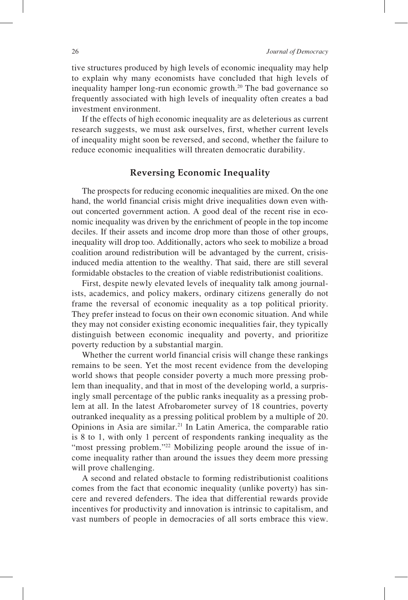tive structures produced by high levels of economic inequality may help to explain why many economists have concluded that high levels of inequality hamper long-run economic growth.<sup>20</sup> The bad governance so frequently associated with high levels of inequality often creates a bad investment environment.

If the effects of high economic inequality are as deleterious as current research suggests, we must ask ourselves, first, whether current levels of inequality might soon be reversed, and second, whether the failure to reduce economic inequalities will threaten democratic durability.

### **Reversing Economic Inequality**

The prospects for reducing economic inequalities are mixed. On the one hand, the world financial crisis might drive inequalities down even without concerted government action. A good deal of the recent rise in economic inequality was driven by the enrichment of people in the top income deciles. If their assets and income drop more than those of other groups, inequality will drop too. Additionally, actors who seek to mobilize a broad coalition around redistribution will be advantaged by the current, crisisinduced media attention to the wealthy. That said, there are still several formidable obstacles to the creation of viable redistributionist coalitions.

First, despite newly elevated levels of inequality talk among journalists, academics, and policy makers, ordinary citizens generally do not frame the reversal of economic inequality as a top political priority. They prefer instead to focus on their own economic situation. And while they may not consider existing economic inequalities fair, they typically distinguish between economic inequality and poverty, and prioritize poverty reduction by a substantial margin.

Whether the current world financial crisis will change these rankings remains to be seen. Yet the most recent evidence from the developing world shows that people consider poverty a much more pressing problem than inequality, and that in most of the developing world, a surprisingly small percentage of the public ranks inequality as a pressing problem at all. In the latest Afrobarometer survey of 18 countries, poverty outranked inequality as a pressing political problem by a multiple of 20. Opinions in Asia are similar.21 In Latin America, the comparable ratio is 8 to 1, with only 1 percent of respondents ranking inequality as the "most pressing problem."<sup>22</sup> Mobilizing people around the issue of income inequality rather than around the issues they deem more pressing will prove challenging.

A second and related obstacle to forming redistributionist coalitions comes from the fact that economic inequality (unlike poverty) has sincere and revered defenders. The idea that differential rewards provide incentives for productivity and innovation is intrinsic to capitalism, and vast numbers of people in democracies of all sorts embrace this view.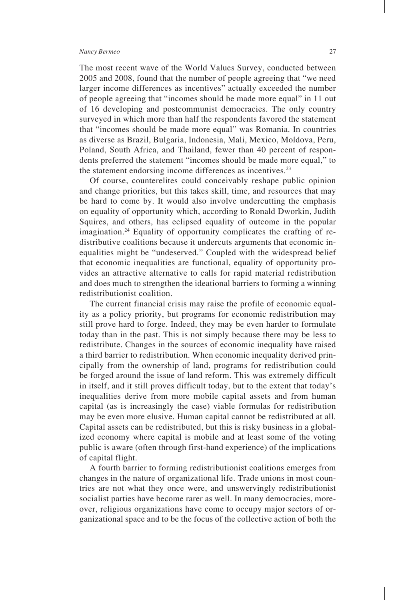The most recent wave of the World Values Survey, conducted between 2005 and 2008, found that the number of people agreeing that "we need larger income differences as incentives" actually exceeded the number of people agreeing that "incomes should be made more equal" in 11 out of 16 developing and postcommunist democracies. The only country surveyed in which more than half the respondents favored the statement that "incomes should be made more equal" was Romania. In countries as diverse as Brazil, Bulgaria, Indonesia, Mali, Mexico, Moldova, Peru, Poland, South Africa, and Thailand, fewer than 40 percent of respondents preferred the statement "incomes should be made more equal," to the statement endorsing income differences as incentives.<sup>23</sup>

Of course, counterelites could conceivably reshape public opinion and change priorities, but this takes skill, time, and resources that may be hard to come by. It would also involve undercutting the emphasis on equality of opportunity which, according to Ronald Dworkin, Judith Squires, and others, has eclipsed equality of outcome in the popular imagination.24 Equality of opportunity complicates the crafting of redistributive coalitions because it undercuts arguments that economic inequalities might be "undeserved." Coupled with the widespread belief that economic inequalities are functional, equality of opportunity provides an attractive alternative to calls for rapid material redistribution and does much to strengthen the ideational barriers to forming a winning redistributionist coalition.

The current financial crisis may raise the profile of economic equality as a policy priority, but programs for economic redistribution may still prove hard to forge. Indeed, they may be even harder to formulate today than in the past. This is not simply because there may be less to redistribute. Changes in the sources of economic inequality have raised a third barrier to redistribution. When economic inequality derived principally from the ownership of land, programs for redistribution could be forged around the issue of land reform. This was extremely difficult in itself, and it still proves difficult today, but to the extent that today's inequalities derive from more mobile capital assets and from human capital (as is increasingly the case) viable formulas for redistribution may be even more elusive. Human capital cannot be redistributed at all. Capital assets can be redistributed, but this is risky business in a globalized economy where capital is mobile and at least some of the voting public is aware (often through first-hand experience) of the implications of capital flight.

A fourth barrier to forming redistributionist coalitions emerges from changes in the nature of organizational life. Trade unions in most countries are not what they once were, and unswervingly redistributionist socialist parties have become rarer as well. In many democracies, moreover, religious organizations have come to occupy major sectors of organizational space and to be the focus of the collective action of both the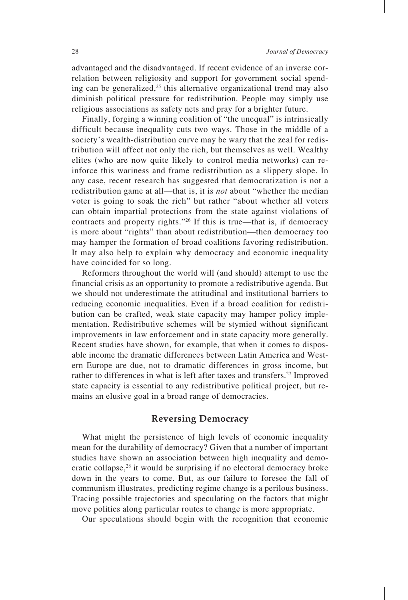advantaged and the disadvantaged. If recent evidence of an inverse correlation between religiosity and support for government social spending can be generalized, $25$  this alternative organizational trend may also diminish political pressure for redistribution. People may simply use religious associations as safety nets and pray for a brighter future.

Finally, forging a winning coalition of "the unequal" is intrinsically difficult because inequality cuts two ways. Those in the middle of a society's wealth-distribution curve may be wary that the zeal for redistribution will affect not only the rich, but themselves as well. Wealthy elites (who are now quite likely to control media networks) can reinforce this wariness and frame redistribution as a slippery slope. In any case, recent research has suggested that democratization is not a redistribution game at all—that is, it is *not* about "whether the median voter is going to soak the rich" but rather "about whether all voters can obtain impartial protections from the state against violations of contracts and property rights."26 If this is true—that is, if democracy is more about "rights" than about redistribution—then democracy too may hamper the formation of broad coalitions favoring redistribution. It may also help to explain why democracy and economic inequality have coincided for so long.

Reformers throughout the world will (and should) attempt to use the financial crisis as an opportunity to promote a redistributive agenda. But we should not underestimate the attitudinal and institutional barriers to reducing economic inequalities. Even if a broad coalition for redistribution can be crafted, weak state capacity may hamper policy implementation. Redistributive schemes will be stymied without significant improvements in law enforcement and in state capacity more generally. Recent studies have shown, for example, that when it comes to disposable income the dramatic differences between Latin America and Western Europe are due, not to dramatic differences in gross income, but rather to differences in what is left after taxes and transfers.<sup>27</sup> Improved state capacity is essential to any redistributive political project, but remains an elusive goal in a broad range of democracies.

#### **Reversing Democracy**

What might the persistence of high levels of economic inequality mean for the durability of democracy? Given that a number of important studies have shown an association between high inequality and democratic collapse,<sup>28</sup> it would be surprising if no electoral democracy broke down in the years to come. But, as our failure to foresee the fall of communism illustrates, predicting regime change is a perilous business. Tracing possible trajectories and speculating on the factors that might move polities along particular routes to change is more appropriate.

Our speculations should begin with the recognition that economic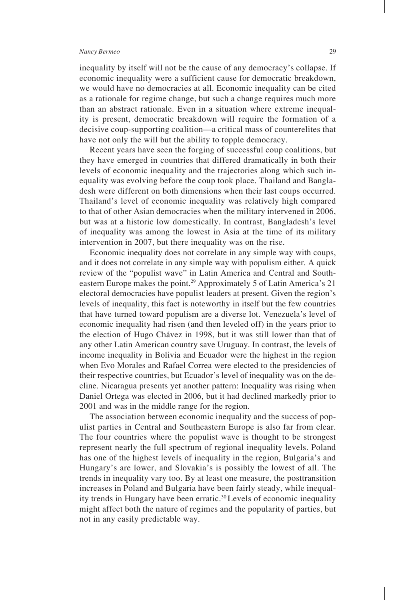inequality by itself will not be the cause of any democracy's collapse. If economic inequality were a sufficient cause for democratic breakdown, we would have no democracies at all. Economic inequality can be cited as a rationale for regime change, but such a change requires much more than an abstract rationale. Even in a situation where extreme inequality is present, democratic breakdown will require the formation of a decisive coup-supporting coalition—a critical mass of counterelites that have not only the will but the ability to topple democracy.

Recent years have seen the forging of successful coup coalitions, but they have emerged in countries that differed dramatically in both their levels of economic inequality and the trajectories along which such inequality was evolving before the coup took place. Thailand and Bangladesh were different on both dimensions when their last coups occurred. Thailand's level of economic inequality was relatively high compared to that of other Asian democracies when the military intervened in 2006, but was at a historic low domestically. In contrast, Bangladesh's level of inequality was among the lowest in Asia at the time of its military intervention in 2007, but there inequality was on the rise.

Economic inequality does not correlate in any simple way with coups, and it does not correlate in any simple way with populism either. A quick review of the "populist wave" in Latin America and Central and Southeastern Europe makes the point.<sup>29</sup> Approximately 5 of Latin America's 21 electoral democracies have populist leaders at present. Given the region's levels of inequality, this fact is noteworthy in itself but the few countries that have turned toward populism are a diverse lot. Venezuela's level of economic inequality had risen (and then leveled off) in the years prior to the election of Hugo Chávez in 1998, but it was still lower than that of any other Latin American country save Uruguay. In contrast, the levels of income inequality in Bolivia and Ecuador were the highest in the region when Evo Morales and Rafael Correa were elected to the presidencies of their respective countries, but Ecuador's level of inequality was on the decline. Nicaragua presents yet another pattern: Inequality was rising when Daniel Ortega was elected in 2006, but it had declined markedly prior to 2001 and was in the middle range for the region.

The association between economic inequality and the success of populist parties in Central and Southeastern Europe is also far from clear. The four countries where the populist wave is thought to be strongest represent nearly the full spectrum of regional inequality levels. Poland has one of the highest levels of inequality in the region, Bulgaria's and Hungary's are lower, and Slovakia's is possibly the lowest of all. The trends in inequality vary too. By at least one measure, the posttransition increases in Poland and Bulgaria have been fairly steady, while inequality trends in Hungary have been erratic.<sup>30</sup> Levels of economic inequality might affect both the nature of regimes and the popularity of parties, but not in any easily predictable way.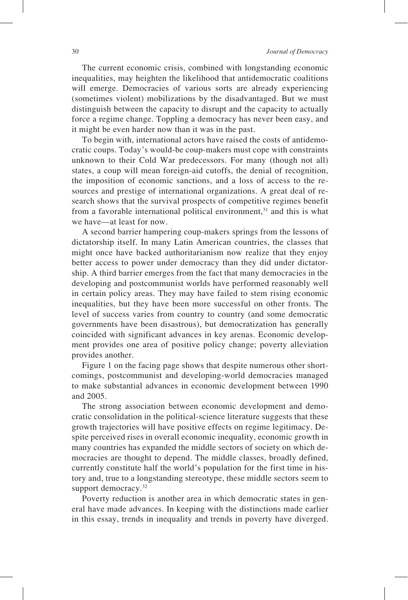The current economic crisis, combined with longstanding economic inequalities, may heighten the likelihood that antidemocratic coalitions will emerge. Democracies of various sorts are already experiencing (sometimes violent) mobilizations by the disadvantaged. But we must distinguish between the capacity to disrupt and the capacity to actually force a regime change. Toppling a democracy has never been easy, and it might be even harder now than it was in the past.

To begin with, international actors have raised the costs of antidemocratic coups. Today's would-be coup-makers must cope with constraints unknown to their Cold War predecessors. For many (though not all) states, a coup will mean foreign-aid cutoffs, the denial of recognition, the imposition of economic sanctions, and a loss of access to the resources and prestige of international organizations. A great deal of research shows that the survival prospects of competitive regimes benefit from a favorable international political environment, $31$  and this is what we have—at least for now.

A second barrier hampering coup-makers springs from the lessons of dictatorship itself. In many Latin American countries, the classes that might once have backed authoritarianism now realize that they enjoy better access to power under democracy than they did under dictatorship. A third barrier emerges from the fact that many democracies in the developing and postcommunist worlds have performed reasonably well in certain policy areas. They may have failed to stem rising economic inequalities, but they have been more successful on other fronts. The level of success varies from country to country (and some democratic governments have been disastrous), but democratization has generally coincided with significant advances in key arenas. Economic development provides one area of positive policy change; poverty alleviation provides another.

Figure 1 on the facing page shows that despite numerous other shortcomings, postcommunist and developing-world democracies managed to make substantial advances in economic development between 1990 and 2005.

The strong association between economic development and democratic consolidation in the political-science literature suggests that these growth trajectories will have positive effects on regime legitimacy. Despite perceived rises in overall economic inequality, economic growth in many countries has expanded the middle sectors of society on which democracies are thought to depend. The middle classes, broadly defined, currently constitute half the world's population for the first time in history and, true to a longstanding stereotype, these middle sectors seem to support democracy.<sup>32</sup>

Poverty reduction is another area in which democratic states in general have made advances. In keeping with the distinctions made earlier in this essay, trends in inequality and trends in poverty have diverged.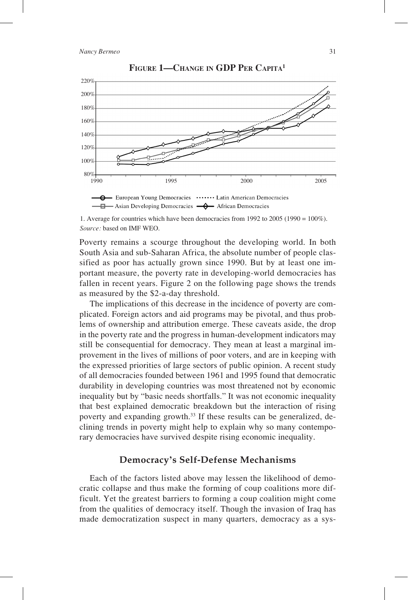

**Figure 1—Change in GDP Per Capita1**

Poverty remains a scourge throughout the developing world. In both South Asia and sub-Saharan Africa, the absolute number of people classified as poor has actually grown since 1990. But by at least one important measure, the poverty rate in developing-world democracies has fallen in recent years. Figure 2 on the following page shows the trends as measured by the \$2-a-day threshold.

The implications of this decrease in the incidence of poverty are complicated. Foreign actors and aid programs may be pivotal, and thus problems of ownership and attribution emerge. These caveats aside, the drop in the poverty rate and the progress in human-development indicators may still be consequential for democracy. They mean at least a marginal improvement in the lives of millions of poor voters, and are in keeping with the expressed priorities of large sectors of public opinion. A recent study of all democracies founded between 1961 and 1995 found that democratic durability in developing countries was most threatened not by economic inequality but by "basic needs shortfalls." It was not economic inequality that best explained democratic breakdown but the interaction of rising poverty and expanding growth.<sup>33</sup> If these results can be generalized, declining trends in poverty might help to explain why so many contemporary democracies have survived despite rising economic inequality.

#### **Democracy's Self-Defense Mechanisms**

Each of the factors listed above may lessen the likelihood of democratic collapse and thus make the forming of coup coalitions more difficult. Yet the greatest barriers to forming a coup coalition might come from the qualities of democracy itself. Though the invasion of Iraq has made democratization suspect in many quarters, democracy as a sys-

<sup>1.</sup> Average for countries which have been democracies from 1992 to 2005 (1990 = 100%). *Source:* based on IMF WEO.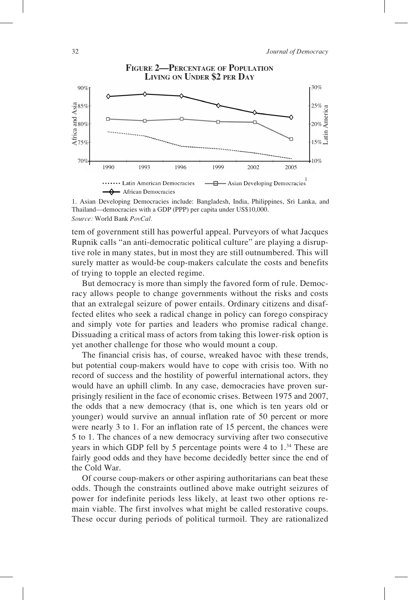

1. Asian Developing Democracies include: Bangladesh, India, Philippines, Sri Lanka, and Thailand—democracies with a GDP (PPP) per capita under US\$10,000. *Source:* World Bank *PovCal.*

tem of government still has powerful appeal. Purveyors of what Jacques Rupnik calls "an anti-democratic political culture" are playing a disruptive role in many states, but in most they are still outnumbered. This will surely matter as would-be coup-makers calculate the costs and benefits of trying to topple an elected regime.

But democracy is more than simply the favored form of rule. Democracy allows people to change governments without the risks and costs that an extralegal seizure of power entails. Ordinary citizens and disaffected elites who seek a radical change in policy can forego conspiracy and simply vote for parties and leaders who promise radical change. Dissuading a critical mass of actors from taking this lower-risk option is yet another challenge for those who would mount a coup.

The financial crisis has, of course, wreaked havoc with these trends, but potential coup-makers would have to cope with crisis too. With no record of success and the hostility of powerful international actors, they would have an uphill climb. In any case, democracies have proven surprisingly resilient in the face of economic crises. Between 1975 and 2007, the odds that a new democracy (that is, one which is ten years old or younger) would survive an annual inflation rate of 50 percent or more were nearly 3 to 1. For an inflation rate of 15 percent, the chances were 5 to 1. The chances of a new democracy surviving after two consecutive years in which GDP fell by 5 percentage points were 4 to 1.34 These are fairly good odds and they have become decidedly better since the end of the Cold War.

Of course coup-makers or other aspiring authoritarians can beat these odds. Though the constraints outlined above make outright seizures of power for indefinite periods less likely, at least two other options remain viable. The first involves what might be called restorative coups. These occur during periods of political turmoil. They are rationalized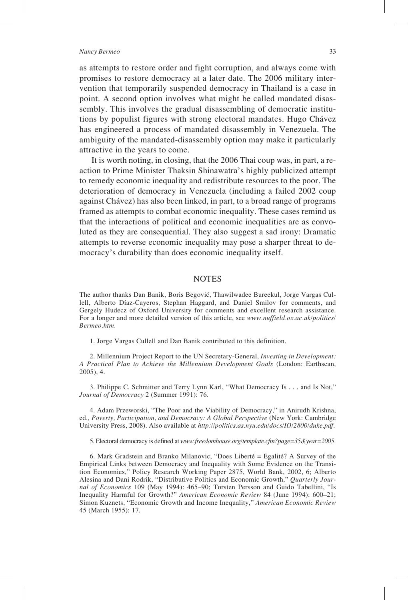as attempts to restore order and fight corruption, and always come with promises to restore democracy at a later date. The 2006 military intervention that temporarily suspended democracy in Thailand is a case in point. A second option involves what might be called mandated disassembly. This involves the gradual disassembling of democratic institutions by populist figures with strong electoral mandates. Hugo Chávez has engineered a process of mandated disassembly in Venezuela. The ambiguity of the mandated-disassembly option may make it particularly attractive in the years to come.

 It is worth noting, in closing, that the 2006 Thai coup was, in part, a reaction to Prime Minister Thaksin Shinawatra's highly publicized attempt to remedy economic inequality and redistribute resources to the poor. The deterioration of democracy in Venezuela (including a failed 2002 coup against Chávez) has also been linked, in part, to a broad range of programs framed as attempts to combat economic inequality. These cases remind us that the interactions of political and economic inequalities are as convoluted as they are consequential. They also suggest a sad irony: Dramatic attempts to reverse economic inequality may pose a sharper threat to democracy's durability than does economic inequality itself.

#### **NOTES**

The author thanks Dan Banik, Boris Begović, Thawilwadee Bureekul, Jorge Vargas Cullell, Alberto Díaz-Cayeros, Stephan Haggard, and Daniel Smilov for comments, and Gergely Hudecz of Oxford University for comments and excellent research assistance. For a longer and more detailed version of this article, see *www.nuffield.ox.ac.uk/politics/ Bermeo.htm.*

1. Jorge Vargas Cullell and Dan Banik contributed to this definition.

2. Millennium Project Report to the UN Secretary-General, *Investing in Development: A Practical Plan to Achieve the Millennium Development Goals* (London: Earthscan, 2005), 4.

3. Philippe C. Schmitter and Terry Lynn Karl, "What Democracy Is . . . and Is Not," *Journal of Democracy* 2 (Summer 1991): 76.

4. Adam Przeworski, "The Poor and the Viability of Democracy," in Anirudh Krishna, ed., *Poverty, Participation, and Democracy: A Global Perspective* (New York: Cambridge University Press, 2008). Also available at *http://politics.as.nyu.edu/docs/IO/2800/duke.pdf.*

5. Electoral democracy is defined at *www.freedomhouse.org/template.cfm?page=35&year=2005.*

6. Mark Gradstein and Branko Milanovic, "Does Liberté = Egalité? A Survey of the Empirical Links between Democracy and Inequality with Some Evidence on the Transition Economies," Policy Research Working Paper 2875, World Bank, 2002, 6; Alberto Alesina and Dani Rodrik, "Distributive Politics and Economic Growth," *Quarterly Journal of Economics* 109 (May 1994): 465–90; Torsten Persson and Guido Tabellini, "Is Inequality Harmful for Growth?" *American Economic Review* 84 (June 1994): 600–21; Simon Kuznets, "Economic Growth and Income Inequality," *American Economic Review* 45 (March 1955): 17.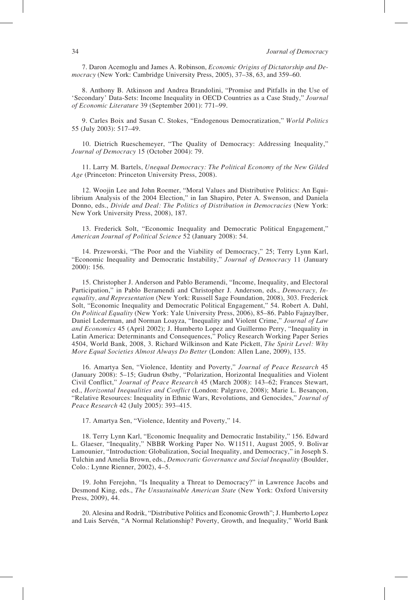7. Daron Acemoglu and James A. Robinson, *Economic Origins of Dictatorship and Democracy* (New York: Cambridge University Press, 2005), 37–38, 63, and 359–60.

8. Anthony B. Atkinson and Andrea Brandolini, "Promise and Pitfalls in the Use of 'Secondary' Data-Sets: Income Inequality in OECD Countries as a Case Study," *Journal of Economic Literature* 39 (September 2001): 771–99.

9. Carles Boix and Susan C. Stokes, "Endogenous Democratization," *World Politics* 55 (July 2003): 517–49.

10. Dietrich Rueschemeyer, "The Quality of Democracy: Addressing Inequality," *Journal of Democracy* 15 (October 2004): 79.

11. Larry M. Bartels, *Unequal Democracy: The Political Economy of the New Gilded Age* (Princeton: Princeton University Press, 2008).

12. Woojin Lee and John Roemer, "Moral Values and Distributive Politics: An Equilibrium Analysis of the 2004 Election," in Ian Shapiro, Peter A. Swenson, and Daniela Donno, eds., *Divide and Deal: The Politics of Distribution in Democracies* (New York: New York University Press, 2008), 187.

13. Frederick Solt, "Economic Inequality and Democratic Political Engagement," *American Journal of Political Science* 52 (January 2008): 54.

14. Przeworski, "The Poor and the Viability of Democracy," 25; Terry Lynn Karl, "Economic Inequality and Democratic Instability," *Journal of Democracy* 11 (January 2000): 156.

15. Christopher J. Anderson and Pablo Beramendi, "Income, Inequality, and Electoral Participation," in Pablo Beramendi and Christopher J. Anderson, eds., *Democracy, Inequality, and Representation* (New York: Russell Sage Foundation, 2008), 303. Frederick Solt, "Economic Inequality and Democratic Political Engagement," 54. Robert A. Dahl, *On Political Equality* (New York: Yale University Press, 2006), 85–86. Pablo Fajnzylber, Daniel Lederman, and Norman Loayza, "Inequality and Violent Crime," *Journal of Law and Economics* 45 (April 2002); J. Humberto Lopez and Guillermo Perry, "Inequality in Latin America: Determinants and Consequences," Policy Research Working Paper Series 4504, World Bank, 2008, 3. Richard Wilkinson and Kate Pickett, *The Spirit Level: Why More Equal Societies Almost Always Do Better* (London: Allen Lane, 2009), 135.

16. Amartya Sen, "Violence, Identity and Poverty," *Journal of Peace Research* 45 (January 2008): 5–15; Gudrun Østby, "Polarization, Horizontal Inequalities and Violent Civil Conflict," *Journal of Peace Research* 45 (March 2008): 143–62; Frances Stewart, ed., *Horizontal Inequalities and Conflict* (London: Palgrave, 2008); Marie L. Besançon, "Relative Resources: Inequality in Ethnic Wars, Revolutions, and Genocides," *Journal of Peace Research* 42 (July 2005): 393–415.

17. Amartya Sen, "Violence, Identity and Poverty," 14.

18. Terry Lynn Karl, "Economic Inequality and Democratic Instability," 156. Edward L. Glaeser, "Inequality," NBBR Working Paper No. W11511, August 2005, 9. Bolivar Lamounier, "Introduction: Globalization, Social Inequality, and Democracy," in Joseph S. Tulchin and Amelia Brown, eds., *Democratic Governance and Social Inequality* (Boulder, Colo.: Lynne Rienner, 2002), 4–5.

19. John Ferejohn, "Is Inequality a Threat to Democracy?" in Lawrence Jacobs and Desmond King, eds., *The Unsustainable American State* (New York: Oxford University Press, 2009), 44.

20. Alesina and Rodrik, "Distributive Politics and Economic Growth"; J. Humberto Lopez and Luis Servén, "A Normal Relationship? Poverty, Growth, and Inequality," World Bank